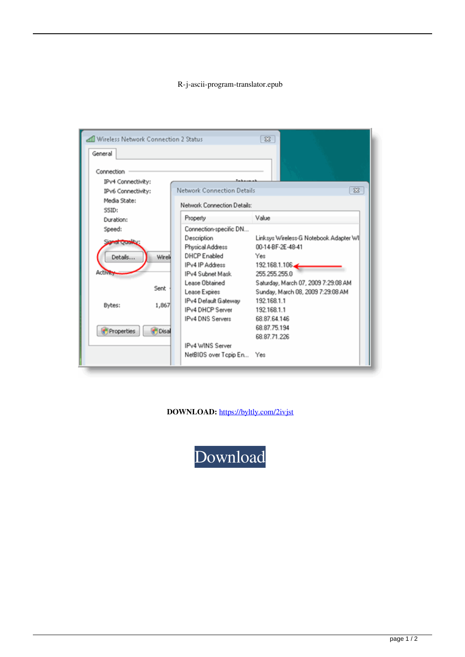## R-j-ascii-program-translator.epub

| $\mathbb{Z}$<br>all Wireless Network Connection 2 Status                 |                                                                                                          |                                                                                                                                              |
|--------------------------------------------------------------------------|----------------------------------------------------------------------------------------------------------|----------------------------------------------------------------------------------------------------------------------------------------------|
| General                                                                  |                                                                                                          |                                                                                                                                              |
| Connection<br>IPv4 Connectivity:<br>IPv6 Connectivity:<br>Media State:   | Network Connection Details<br>Network Connection Details:                                                | $\Sigma$                                                                                                                                     |
| SSID:<br>Duration:                                                       | Property                                                                                                 | Value                                                                                                                                        |
| Speed:                                                                   | Connection-specific DN                                                                                   |                                                                                                                                              |
| <b>Symphony Colombia</b><br>Details<br>Wireli<br><b>Activies</b><br>Sent | Description<br>Physical Address<br>DHCP Enabled<br>IPv4 IP Address<br>IPv4 Subnet Mask<br>Lease Obtained | Linksys Wireless-G Notebook Adapter WI <br>00-14-BF-2E-48-41<br>Yes<br>192.168.1.106<br>255.255.255.0<br>Saturday, March 07, 2009 7:29:08 AM |
| 1,867<br>Bytes:                                                          | Lease Expires<br>IPv4 Default Gateway<br>IPv4 DHCP Server<br>IPv4 DNS Servers                            | Sunday, March 08, 2009 7:29:08 AM<br>192 168 1.1<br>192.168.1.1<br>68.87.64.146                                                              |
| Properties<br><b>Disal</b>                                               | IPv4 WINS Server                                                                                         | 68.87.75.194<br>68.87.71.226                                                                                                                 |
|                                                                          | NetBIOS over Topip En Yes                                                                                |                                                                                                                                              |

DOWNLOAD: https://byltly.com/2ivjst